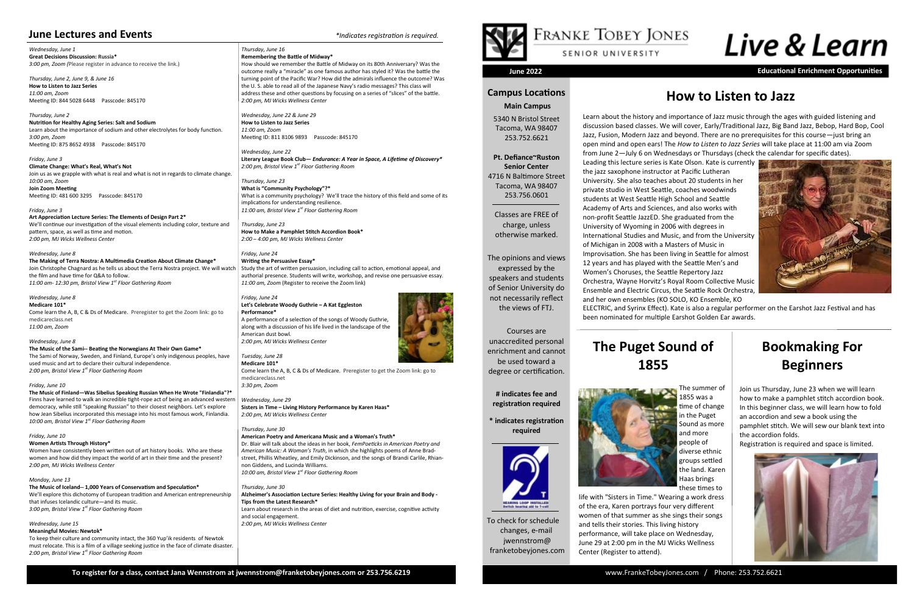To check for schedule changes, e-mail jwennstrom@ franketobeyjones.com

# **Campus Locations**

# **Main Campus**

5340 N Bristol Street Tacoma, WA 98407 253.752.6621

**Pt. Defiance~Ruston Senior Center** 4716 N Baltimore Street Tacoma, WA 98407 253.756.0601

Classes are FREE of charge, unless otherwise marked.

The opinions and views expressed by the speakers and students of Senior University do not necessarily reflect the views of FTJ.

Courses are unaccredited personal enrichment and cannot be used toward a degree or certification.

> **# indicates fee and registration required**

**\* indicates registration required**



**June 2022 Educational Enrichment Opportunities**

*Wednesday, June 1* **Great Decisions Discussion: Russia\*** *3:00 pm, Zoom (*Please register in advance to receive the link.)

*Thursday, June 2, June 9, & June 16* **How to Listen to Jazz Series** *11:00 am, Zoom* Meeting ID: 844 5028 6448 Passcode: 845170

*Thursday, June 2* **Nutrition for Healthy Aging Series: Salt and Sodium** Learn about the importance of sodium and other electrolytes for body function. *3:00 pm, Zoom* Meeting ID: 875 8652 4938 Passcode: 845170

*Friday, June 3* **Climate Change: What's Real, What's Not** Join us as we grapple with what is real and what is not in regards to climate change. *10:00 am, Zoom* **Join Zoom Meeting** Meeting ID: 481 600 3295 Passcode: 845170

### *Friday, June 3*

**Art Appreciation Lecture Series: The Elements of Design Part 2\*** We'll continue our investigation of the visual elements including color, texture and pattern, space, as well as time and motion. *2:00 pm, MJ Wicks Wellness Center* 

*Wednesday, June 8* **The Making of Terra Nostra: A Multimedia Creation About Climate Change\*** Join Christophe Chagnard as he tells us about the Terra Nostra project. We will watch the film and have time for Q&A to follow. *11:00 am- 12:30 pm, Bristol View 1st Floor Gathering Room*

# *Wednesday, June 8*

**Medicare 101\*** Come learn the A, B, C & Ds of Medicare. Preregister to get the Zoom link: go to medicareclass.net *11:00 am, Zoom* 

*Wednesday, June 8* **The Music of the Sami-- Beating the Norwegians At Their Own Game\*** The Sami of Norway, Sweden, and Finland, Europe's only indigenous peoples, have used music and art to declare their cultural independence. *2:00 pm, Bristol View 1st Floor Gathering Room*

*Friday, June 10*

**The Music of Finland—Was Sibelius Speaking Russian When He Wrote "Finlandia"?\*** Finns have learned to walk an incredible tight-rope act of being an advanced western democracy, while still "speaking Russian" to their closest neighbors. Let's explore how Jean Sibelius incorporated this message into his most famous work, Finlandia. *10:00 am, Bristol View 1st Floor Gathering Room*

*Friday, June 10*

### **Women Artists Through History\***

Women have consistently been written out of art history books. Who are these women and how did they impact the world of art in their time and the present? *2:00 pm, MJ Wicks Wellness Center* 

*Monday, June 13*

# **The Music of Iceland-- 1,000 Years of Conservatism and Speculation\***

We'll explore this dichotomy of European tradition and American entrepreneurship that infuses Icelandic culture—and its music. *3:00 pm, Bristol View 1st Floor Gathering Room*

## *Wednesday, June 15* **Meaningful Movies: Newtok\***

To keep their culture and community intact, the 360 Yup'ik residents of Newtok must relocate. This is a film of a village seeking justice in the face of climate disaster. *2:00 pm, Bristol View 1st Floor Gathering Room*

### *Thursday, June 16* **Remembering the Battle of Midway\***

How should we remember the Battle of Midway on its 80th Anniversary? Was the outcome really a "miracle" as one famous author has styled it? Was the battle the turning point of the Pacific War? How did the admirals influence the outcome? Was the U. S. able to read all of the Japanese Navy's radio messages? This class will address these and other questions by focusing on a series of "slices" of the battle. *2:00 pm, MJ Wicks Wellness Center* 

*Wednesday, June 22 & June 29* **How to Listen to Jazz Series** *11:00 am, Zoom* Meeting ID: 811 8106 9893 Passcode: 845170

*Wednesday, June 22* **Literary League Book Club—** *Endurance: A Year in Space, A Lifetime of Discovery\* 2:00 pm, Bristol View 1st Floor Gathering Room*

*Thursday, June 23* **What is "Community Psychology"?\*** What is a community psychology? We'll trace the history of this field and some of its implications for understanding resilience. *11:00 am, Bristol View 1st Floor Gathering Room*

*Thursday, June 23* **How to Make a Pamphlet Stitch Accordion Book\*** *2:00 – 4:00 pm, MJ Wicks Wellness Center*

# *Friday, June 24* **Writing the Persuasive Essay\***

Study the art of written persuasion, including call to action, emotional appeal, and authorial presence. Students will write, workshop, and revise one persuasive essay. *11:00 am, Zoom* (Register to receive the Zoom link)

# *Friday, June 24* **Let's Celebrate Woody Guthrie – A Kat Eggleston Performance\***

A performance of a selection of the songs of Woody Guthrie, along with a discussion of his life lived in the landscape of the American dust bowl. *2:00 pm, MJ Wicks Wellness Center* 

*Tuesday, June 28* **Medicare 101\***

Come learn the A, B, C & Ds of Medicare. Preregister to get the Zoom link: go to medicareclass.net *3:30 pm, Zoom* 

*Wednesday, June 29* **Sisters in Time – Living History Performance by Karen Haas\*** *2:00 pm, MJ Wicks Wellness Center* 

*Thursday, June 30*

## **American Poetry and Americana Music and a Woman's Truth\***

Dr. Blair will talk about the ideas in her book, *FemPoeticks in American Poetry and American Music: A Woman's Truth*, in which she highlights poems of Anne Bradstreet, Phillis Wheatley, and Emily Dickinson, and the songs of Brandi Carlile, Rhiannon Giddens, and Lucinda Williams. *10:00 am, Bristol View 1st Floor Gathering Room*

*Thursday, June 30* **Alzheimer's Association Lecture Series: Healthy Living for your Brain and Body - Tips from the Latest Research\***

Learn about research in the areas of diet and nutrition, exercise, cognitive activity and social engagement. *2:00 pm, MJ Wicks Wellness Center* 





# Live & Learn

# **How to Listen to Jazz**

# **June Lectures and Events** *\*Indicates registration is required.*

The summer of 1855 was a time of change in the Puget Sound as more and more people of diverse ethnic groups settled the land. Karen Haas brings these times to

life with "Sisters in Time." Wearing a work dress of the era, Karen portrays four very different women of that summer as she sings their songs and tells their stories. This living history performance, will take place on Wednesday, June 29 at 2:00 pm in the MJ Wicks Wellness Center (Register to attend).

Learn about the history and importance of Jazz music through the ages with guided listening and



discussion based classes. We will cover, Early/Traditional Jazz, Big Band Jazz, Bebop, Hard Bop, Cool Jazz, Fusion, Modern Jazz and beyond. There are no prerequisites for this course—just bring an open mind and open ears! The *How to Listen to Jazz Series* will take place at 11:00 am via Zoom from June 2—July 6 on Wednesdays or Thursdays (check the calendar for specific dates). Leading this lecture series is Kate Olson. Kate is currently the jazz saxophone instructor at Pacific Lutheran University. She also teaches about 20 students in her private studio in West Seattle, coaches woodwinds students at West Seattle High School and Seattle Academy of Arts and Sciences, and also works with non-profit Seattle JazzED. She graduated from the University of Wyoming in 2006 with degrees in International Studies and Music, and from the University of Michigan in 2008 with a Masters of Music in Improvisation. She has been living in Seattle for almost 12 years and has played with the Seattle Men's and Women's Choruses, the Seattle Repertory Jazz Orchestra, Wayne Horvitz's Royal Room Collective Music Ensemble and Electric Circus, the Seattle Rock Orchestra, and her own ensembles (KO SOLO, KO Ensemble, KO ELECTRIC, and Syrinx Effect). Kate is also a regular performer on the Earshot Jazz Festival and has been nominated for multiple Earshot Golden Ear awards.

# **The Puget Sound of**



# **Bookmaking For Beginners**

Join us Thursday, June 23 when we will learn how to make a pamphlet stitch accordion book. In this beginner class, we will learn how to fold an accordion and sew a book using the pamphlet stitch. We will sew our blank text into the accordion folds.

Registration is required and space is limited.